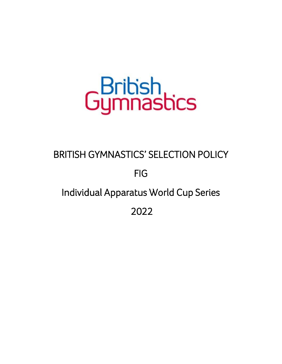# GBritish

# BRITISH GYMNASTICS' SELECTION POLICY

# FIG

# Individual Apparatus World Cup Series

2022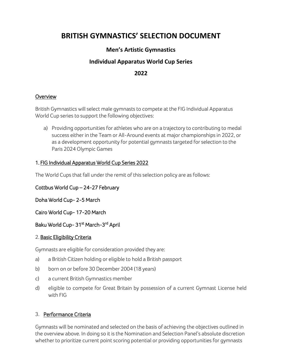# **BRITISH GYMNASTICS' SELECTION DOCUMENT**

# **Men's Artistic Gymnastics**

# **Individual Apparatus World Cup Series**

# **2022**

#### **Overview**

British Gymnastics will select male gymnasts to compete at the FIG Individual Apparatus World Cup series to support the following objectives:

a) Providing opportunities for athletes who are on a trajectory to contributing to medal success either in the Team or All-Around events at major championships in 2022, or as a development opportunity for potential gymnasts targeted for selection to the Paris 2024 Olympic Games

#### 1. FIG Individual Apparatus World Cup Series 2022

The World Cups that fall under the remit of this selection policy are as follows:

#### Cottbus World Cup – 24-27 February

Doha World Cup- 2-5 March

Cairo World Cup- 17-20 March

#### Baku World Cup- 31st March-3rd April

#### 2. Basic Eligibility Criteria

Gymnasts are eligible for consideration provided they are:

- a) a British Citizen holding or eligible to hold a British passport
- b) born on or before 30 December 2004 (18 years)
- c) a current British Gymnastics member
- d) eligible to compete for Great Britain by possession of a current Gymnast License held with FIG

#### 3. Performance Criteria

Gymnasts will be nominated and selected on the basis of achieving the objectives outlined in the overview above. In doing so it is the Nomination and Selection Panel's absolute discretion whether to prioritize current point scoring potential or providing opportunities for gymnasts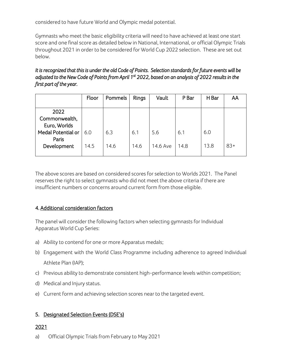considered to have future World and Olympic medal potential.

Gymnasts who meet the basic eligibility criteria will need to have achieved at least one start score and one final score as detailed below in National, International, or official Olympic Trials throughout 2021 in order to be considered for World Cup 2022 selection. These are set out below.

#### *It is recognized that this is under the old Code of Points. Selection standards for future events will be adjusted to the New Code of Points from April 1st 2022, based on an analysis of 2022 results in the first part of the year.*

|                                       | Floor | Pommels | Rings | Vault    | P Bar | H Bar | AA    |
|---------------------------------------|-------|---------|-------|----------|-------|-------|-------|
| 2022<br>Commonwealth,<br>Euro, Worlds |       |         |       |          |       |       |       |
| Medal Potential or<br>Paris           | 6.0   | 6.3     | 6.1   | 5.6      | 6.1   | 6.0   |       |
| Development                           | 14.5  | 14.6    | 14.6  | 14.6 Ave | 14.8  | 13.8  | $83+$ |

The above scores are based on considered scores for selection to Worlds 2021. The Panel reserves the right to select gymnasts who did not meet the above criteria if there are insufficient numbers or concerns around current form from those eligible.

# 4. Additional consideration factors

The panel will consider the following factors when selecting gymnasts for Individual Apparatus World Cup Series:

- a) Ability to contend for one or more Apparatus medals;
- b) Engagement with the World Class Programme including adherence to agreed Individual Athlete Plan (IAP);
- c) Previous ability to demonstrate consistent high-performance levels within competition;
- d) Medical and Injury status.
- e) Current form and achieving selection scores near to the targeted event.

# 5. Designated Selection Events (DSE's)

# 2021

a) Official Olympic Trials from February to May 2021